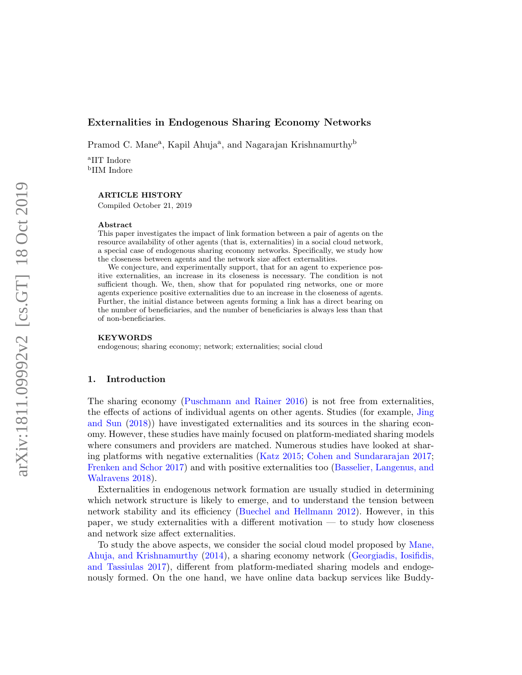## Externalities in Endogenous Sharing Economy Networks

Pramod C. Mane<sup>a</sup>, Kapil Ahuja<sup>a</sup>, and Nagarajan Krishnamurthy<sup>b</sup>

a IIT Indore b IIM Indore

#### ARTICLE HISTORY

Compiled October 21, 2019

#### Abstract

This paper investigates the impact of link formation between a pair of agents on the resource availability of other agents (that is, externalities) in a social cloud network, a special case of endogenous sharing economy networks. Specifically, we study how the closeness between agents and the network size affect externalities.

We conjecture, and experimentally support, that for an agent to experience positive externalities, an increase in its closeness is necessary. The condition is not sufficient though. We, then, show that for populated ring networks, one or more agents experience positive externalities due to an increase in the closeness of agents. Further, the initial distance between agents forming a link has a direct bearing on the number of beneficiaries, and the number of beneficiaries is always less than that of non-beneficiaries.

#### KEYWORDS

endogenous; sharing economy; network; externalities; social cloud

### 1. Introduction

The sharing economy (Puschmann and Rainer 2016) is not free from externalities, the effects of actions of individual agents on other agents. Studies (for example, Jing and Sun (2018)) have investigated externalities and its sources in the sharing economy. However, these studies have mainly focused on platform-mediated sharing models where consumers and providers are matched. Numerous studies have looked at sharing platforms with negative externalities (Katz 2015; Cohen and Sundararajan 2017; Frenken and Schor 2017) and with positive externalities too (Basselier, Langenus, and Walravens 2018).

Externalities in endogenous network formation are usually studied in determining which network structure is likely to emerge, and to understand the tension between network stability and its efficiency (Buechel and Hellmann 2012). However, in this paper, we study externalities with a different motivation — to study how closeness and network size affect externalities.

To study the above aspects, we consider the social cloud model proposed by Mane, Ahuja, and Krishnamurthy (2014), a sharing economy network (Georgiadis, Iosifidis, and Tassiulas 2017), different from platform-mediated sharing models and endogenously formed. On the one hand, we have online data backup services like Buddy-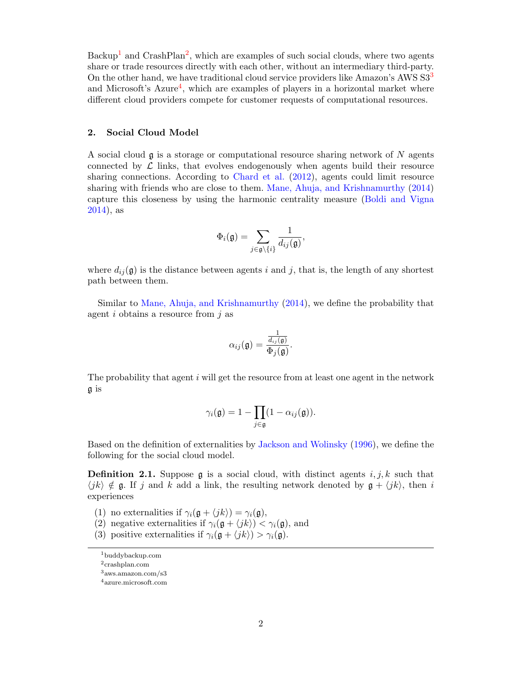Backup<sup>1</sup> and CrashPlan<sup>2</sup>, which are examples of such social clouds, where two agents share or trade resources directly with each other, without an intermediary third-party. On the other hand, we have traditional cloud service providers like Amazon's AWS S3<sup>3</sup> and Microsoft's  $A$ zure<sup>4</sup>, which are examples of players in a horizontal market where different cloud providers compete for customer requests of computational resources.

# 2. Social Cloud Model

A social cloud  $\mathfrak g$  is a storage or computational resource sharing network of N agents connected by  $\mathcal L$  links, that evolves endogenously when agents build their resource sharing connections. According to Chard et al. (2012), agents could limit resource sharing with friends who are close to them. Mane, Ahuja, and Krishnamurthy (2014) capture this closeness by using the harmonic centrality measure (Boldi and Vigna 2014), as

$$
\Phi_i(\mathfrak{g})=\sum_{j\in\mathfrak{g}\backslash\{i\}}\frac{1}{d_{ij}(\mathfrak{g})},
$$

where  $d_{ij}(\mathfrak{g})$  is the distance between agents i and j, that is, the length of any shortest path between them.

Similar to Mane, Ahuja, and Krishnamurthy (2014), we define the probability that agent  $i$  obtains a resource from  $j$  as

$$
\alpha_{ij}(\mathfrak{g}) = \frac{\frac{1}{d_{ij}(\mathfrak{g})}}{\Phi_j(\mathfrak{g})}.
$$

The probability that agent  $i$  will get the resource from at least one agent in the network g is

$$
\gamma_i(\mathfrak{g})=1-\prod_{j\in\mathfrak{g}}(1-\alpha_{ij}(\mathfrak{g})).
$$

Based on the definition of externalities by Jackson and Wolinsky (1996), we define the following for the social cloud model.

**Definition 2.1.** Suppose g is a social cloud, with distinct agents  $i, j, k$  such that  $\langle i\kappa \rangle \notin \mathfrak{g}$ . If j and k add a link, the resulting network denoted by  $\mathfrak{g} + \langle i\kappa \rangle$ , then i experiences

- (1) no externalities if  $\gamma_i(\mathfrak{g} + \langle jk \rangle) = \gamma_i(\mathfrak{g}),$
- (2) negative externalities if  $\gamma_i(\mathfrak{g} + \langle jk \rangle) < \gamma_i(\mathfrak{g})$ , and
- (3) positive externalities if  $\gamma_i(\mathfrak{g} + \langle jk \rangle) > \gamma_i(\mathfrak{g}).$

<sup>1</sup>buddybackup.com

<sup>2</sup>crashplan.com

<sup>3</sup>aws.amazon.com/s3

<sup>4</sup>azure.microsoft.com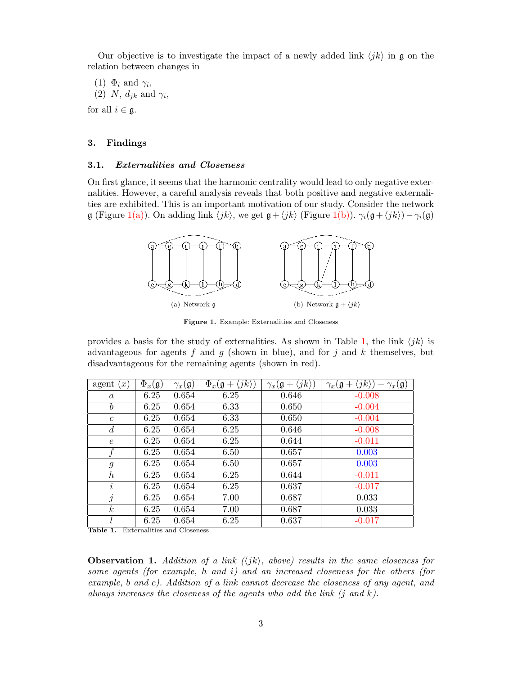Our objective is to investigate the impact of a newly added link  $\langle jk \rangle$  in g on the relation between changes in

(1)  $\Phi_i$  and  $\gamma_i$ , (2) N,  $d_{jk}$  and  $\gamma_i$ ,

for all  $i \in \mathfrak{g}$ .

## 3. Findings

## 3.1. Externalities and Closeness

On first glance, it seems that the harmonic centrality would lead to only negative externalities. However, a careful analysis reveals that both positive and negative externalities are exhibited. This is an important motivation of our study. Consider the network  $\mathfrak g$  (Figure 1(a)). On adding link  $\langle jk \rangle$ , we get  $\mathfrak g+\langle jk \rangle$  (Figure 1(b)).  $\gamma_i(\mathfrak g+\langle jk \rangle)-\gamma_i(\mathfrak g)$ 



Figure 1. Example: Externalities and Closeness

provides a basis for the study of externalities. As shown in Table 1, the link  $\langle jk \rangle$  is advantageous for agents f and q (shown in blue), and for j and k themselves, but disadvantageous for the remaining agents (shown in red).

| agent<br>$\lfloor x \rfloor$ | $\Phi_x(\mathfrak{g})$ | $\gamma_x(\mathfrak{g})$ | $\Phi_x(\mathfrak{g}+\langle jk\rangle)$ | $\gamma_x(\mathfrak{g}+\langle jk\rangle)$ | $\gamma_x(\mathfrak{g}+\langle jk\rangle)$<br>$-\gamma_x(\mathfrak{g})$ |
|------------------------------|------------------------|--------------------------|------------------------------------------|--------------------------------------------|-------------------------------------------------------------------------|
| $\boldsymbol{a}$             | 6.25                   | 0.654                    | 6.25                                     | 0.646                                      | $-0.008$                                                                |
| $\boldsymbol{b}$             | 6.25                   | 0.654                    | 6.33                                     | 0.650                                      | $-0.004$                                                                |
| $\boldsymbol{c}$             | 6.25                   | 0.654                    | 6.33                                     | 0.650                                      | $-0.004$                                                                |
| d                            | 6.25                   | 0.654                    | 6.25                                     | 0.646                                      | $-0.008$                                                                |
| $\epsilon$                   | 6.25                   | 0.654                    | 6.25                                     | 0.644                                      | $-0.011$                                                                |
|                              | 6.25                   | 0.654                    | 6.50                                     | 0.657                                      | 0.003                                                                   |
| $\mathfrak{g}$               | 6.25                   | 0.654                    | 6.50                                     | 0.657                                      | 0.003                                                                   |
| $\boldsymbol{h}$             | 6.25                   | 0.654                    | 6.25                                     | 0.644                                      | $-0.011$                                                                |
| $\dot{i}$                    | 6.25                   | 0.654                    | 6.25                                     | 0.637                                      | $-0.017$                                                                |
| $\dot{j}$                    | 6.25                   | 0.654                    | 7.00                                     | 0.687                                      | 0.033                                                                   |
| $\boldsymbol{k}$             | 6.25                   | 0.654                    | 7.00                                     | 0.687                                      | 0.033                                                                   |
|                              | 6.25                   | 0.654                    | 6.25                                     | 0.637                                      | $-0.017$                                                                |

Table 1. Externalities and Closeness

**Observation 1.** Addition of a link  $\langle \langle jk \rangle$ , above) results in the same closeness for some agents (for example, h and i) and an increased closeness for the others (for example, b and c). Addition of a link cannot decrease the closeness of any agent, and always increases the closeness of the agents who add the link  $(j \text{ and } k)$ .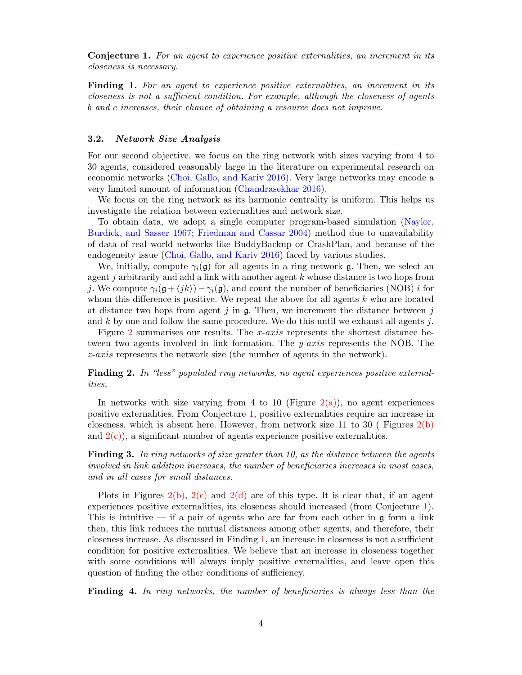Conjecture 1. For an agent to experience positive externalities, an increment in its closeness is necessary.

Finding 1. For an agent to experience positive externalities, an increment in its closeness is not a sufficient condition. For example, although the closeness of agents b and c increases, their chance of obtaining a resource does not improve.

### 3.2. Network Size Analysis

For our second objective, we focus on the ring network with sizes varying from 4 to 30 agents, considered reasonably large in the literature on experimental research on economic networks (Choi, Gallo, and Kariv 2016). Very large networks may encode a very limited amount of information (Chandrasekhar 2016).

We focus on the ring network as its harmonic centrality is uniform. This helps us investigate the relation between externalities and network size.

To obtain data, we adopt a single computer program-based simulation (Naylor, Burdick, and Sasser 1967; Friedman and Cassar 2004) method due to unavailability of data of real world networks like BuddyBackup or CrashPlan, and because of the endogeneity issue (Choi, Gallo, and Kariv 2016) faced by various studies.

We, initially, compute  $\gamma_i(\mathfrak{g})$  for all agents in a ring network g. Then, we select an agent  $j$  arbitrarily and add a link with another agent  $k$  whose distance is two hops from j. We compute  $\gamma_i(\mathfrak{g}+\langle jk\rangle)-\gamma_i(\mathfrak{g})$ , and count the number of beneficiaries (NOB) i for whom this difference is positive. We repeat the above for all agents  $k$  who are located at distance two hops from agent  $j$  in  $\mathfrak{g}$ . Then, we increment the distance between  $j$ and k by one and follow the same procedure. We do this until we exhaust all agents j.

Figure 2 summarises our results. The x-axis represents the shortest distance between two agents involved in link formation. The  $y\text{-}axis$  represents the NOB. The z-axis represents the network size (the number of agents in the network).

# Finding 2. In "less" populated ring networks, no agent experiences positive externalities.

In networks with size varying from 4 to 10 (Figure  $2(a)$ ), no agent experiences positive externalities. From Conjecture 1, positive externalities require an increase in closeness, which is absent here. However, from network size 11 to 30 (Figures  $2(b)$ ) and  $2(c)$ , a significant number of agents experience positive externalities.

Finding 3. In ring networks of size greater than 10, as the distance between the agents involved in link addition increases, the number of beneficiaries increases in most cases, and in all cases for small distances.

Plots in Figures 2(b),  $2(c)$  and  $2(d)$  are of this type. It is clear that, if an agent experiences positive externalities, its closeness should increased (from Conjecture 1). This is intuitive — if a pair of agents who are far from each other in  $\mathfrak g$  form a link then, this link reduces the mutual distances among other agents, and therefore, their closeness increase. As discussed in Finding 1, an increase in closeness is not a sufficient condition for positive externalities. We believe that an increase in closeness together with some conditions will always imply positive externalities, and leave open this question of finding the other conditions of sufficiency.

Finding 4. In ring networks, the number of beneficiaries is always less than the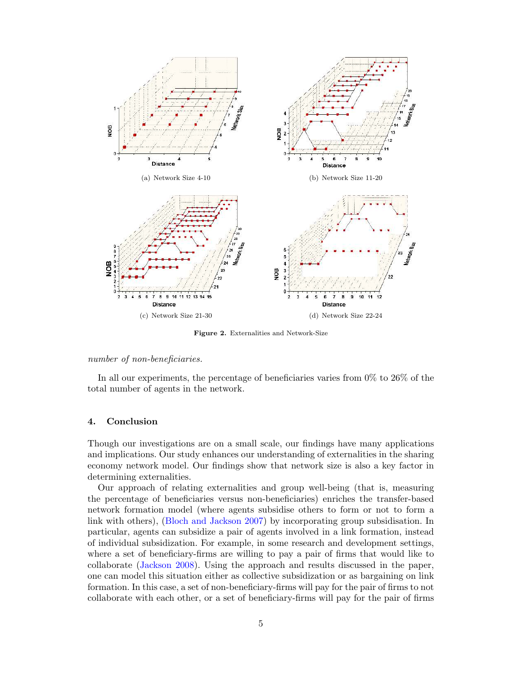

Figure 2. Externalities and Network-Size

#### number of non-beneficiaries.

In all our experiments, the percentage of beneficiaries varies from 0% to 26% of the total number of agents in the network.

# 4. Conclusion

Though our investigations are on a small scale, our findings have many applications and implications. Our study enhances our understanding of externalities in the sharing economy network model. Our findings show that network size is also a key factor in determining externalities.

Our approach of relating externalities and group well-being (that is, measuring the percentage of beneficiaries versus non-beneficiaries) enriches the transfer-based network formation model (where agents subsidise others to form or not to form a link with others), (Bloch and Jackson 2007) by incorporating group subsidisation. In particular, agents can subsidize a pair of agents involved in a link formation, instead of individual subsidization. For example, in some research and development settings, where a set of beneficiary-firms are willing to pay a pair of firms that would like to collaborate (Jackson 2008). Using the approach and results discussed in the paper, one can model this situation either as collective subsidization or as bargaining on link formation. In this case, a set of non-beneficiary-firms will pay for the pair of firms to not collaborate with each other, or a set of beneficiary-firms will pay for the pair of firms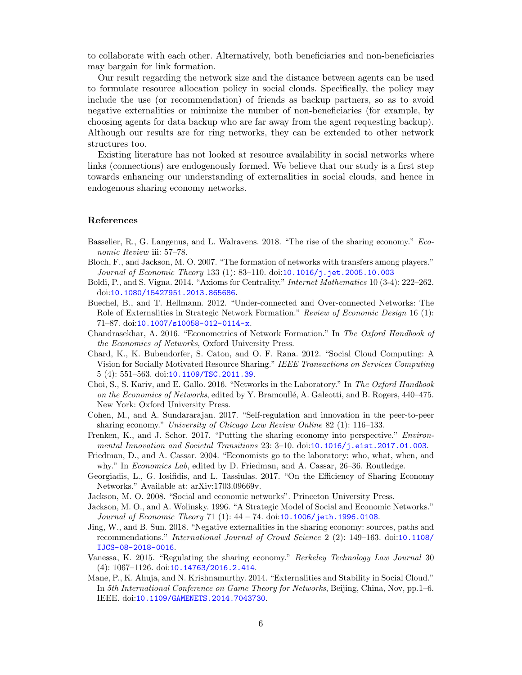to collaborate with each other. Alternatively, both beneficiaries and non-beneficiaries may bargain for link formation.

Our result regarding the network size and the distance between agents can be used to formulate resource allocation policy in social clouds. Specifically, the policy may include the use (or recommendation) of friends as backup partners, so as to avoid negative externalities or minimize the number of non-beneficiaries (for example, by choosing agents for data backup who are far away from the agent requesting backup). Although our results are for ring networks, they can be extended to other network structures too.

Existing literature has not looked at resource availability in social networks where links (connections) are endogenously formed. We believe that our study is a first step towards enhancing our understanding of externalities in social clouds, and hence in endogenous sharing economy networks.

#### References

- Basselier, R., G. Langenus, and L. Walravens. 2018. "The rise of the sharing economy." Economic Review iii: 57–78.
- Bloch, F., and Jackson, M. O. 2007. "The formation of networks with transfers among players." Journal of Economic Theory 133 (1): 83-110. doi:10.1016/j.jet.2005.10.003
- Boldi, P., and S. Vigna. 2014. "Axioms for Centrality." Internet Mathematics 10 (3-4): 222–262. doi:10.1080/15427951.2013.865686.
- Buechel, B., and T. Hellmann. 2012. "Under-connected and Over-connected Networks: The Role of Externalities in Strategic Network Formation." Review of Economic Design 16 (1): 71–87. doi:10.1007/s10058-012-0114-x.
- Chandrasekhar, A. 2016. "Econometrics of Network Formation." In The Oxford Handbook of the Economics of Networks, Oxford University Press.
- Chard, K., K. Bubendorfer, S. Caton, and O. F. Rana. 2012. "Social Cloud Computing: A Vision for Socially Motivated Resource Sharing." IEEE Transactions on Services Computing 5 (4): 551–563. doi:10.1109/TSC.2011.39.
- Choi, S., S. Kariv, and E. Gallo. 2016. "Networks in the Laboratory." In The Oxford Handbook on the Economics of Networks, edited by Y. Bramoullé, A. Galeotti, and B. Rogers, 440–475. New York: Oxford University Press.
- Cohen, M., and A. Sundararajan. 2017. "Self-regulation and innovation in the peer-to-peer sharing economy." University of Chicago Law Review Online 82 (1): 116–133.
- Frenken, K., and J. Schor. 2017. "Putting the sharing economy into perspective." Environmental Innovation and Societal Transitions 23: 3–10. doi:10.1016/j.eist.2017.01.003.
- Friedman, D., and A. Cassar. 2004. "Economists go to the laboratory: who, what, when, and why." In Economics Lab, edited by D. Friedman, and A. Cassar, 26–36. Routledge.
- Georgiadis, L., G. Iosifidis, and L. Tassiulas. 2017. "On the Efficiency of Sharing Economy Networks." Available at: arXiv:1703.09669v.
- Jackson, M. O. 2008. "Social and economic networks". Princeton University Press.
- Jackson, M. O., and A. Wolinsky. 1996. "A Strategic Model of Social and Economic Networks." Journal of Economic Theory 71 (1): 44 – 74. doi:10.1006/jeth.1996.0108.
- Jing, W., and B. Sun. 2018. "Negative externalities in the sharing economy: sources, paths and recommendations." International Journal of Crowd Science 2 (2): 149–163. doi:10.1108/ IJCS-08-2018-0016.
- Vanessa, K. 2015. "Regulating the sharing economy." Berkeley Technology Law Journal 30 (4): 1067–1126. doi:10.14763/2016.2.414.
- Mane, P., K. Ahuja, and N. Krishnamurthy. 2014. "Externalities and Stability in Social Cloud." In 5th International Conference on Game Theory for Networks, Beijing, China, Nov, pp.1–6. IEEE. doi:10.1109/GAMENETS.2014.7043730.